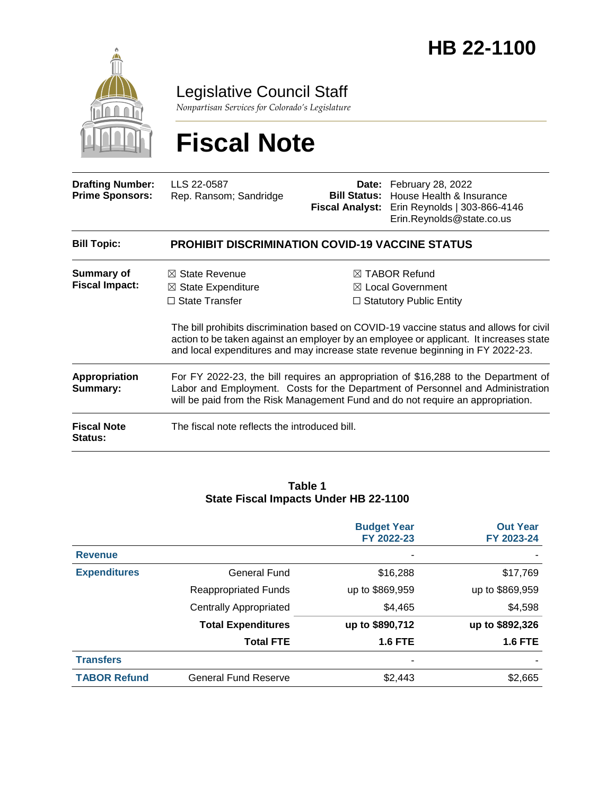

Legislative Council Staff

*Nonpartisan Services for Colorado's Legislature*

# **Fiscal Note**

| <b>Drafting Number:</b><br><b>Prime Sponsors:</b> | LLS 22-0587<br>Rep. Ransom; Sandridge                                                                                                                                                                                                                    |  | <b>Date:</b> February 28, 2022<br><b>Bill Status:</b> House Health & Insurance<br>Fiscal Analyst: Erin Reynolds   303-866-4146<br>Erin.Reynolds@state.co.us                                                                                                                                                                                                       |  |  |
|---------------------------------------------------|----------------------------------------------------------------------------------------------------------------------------------------------------------------------------------------------------------------------------------------------------------|--|-------------------------------------------------------------------------------------------------------------------------------------------------------------------------------------------------------------------------------------------------------------------------------------------------------------------------------------------------------------------|--|--|
| <b>Bill Topic:</b>                                | <b>PROHIBIT DISCRIMINATION COVID-19 VACCINE STATUS</b>                                                                                                                                                                                                   |  |                                                                                                                                                                                                                                                                                                                                                                   |  |  |
| Summary of<br><b>Fiscal Impact:</b>               | $\boxtimes$ State Revenue<br>$\boxtimes$ State Expenditure<br>$\Box$ State Transfer                                                                                                                                                                      |  | $\boxtimes$ TABOR Refund<br>$\boxtimes$ Local Government<br>$\Box$ Statutory Public Entity<br>The bill prohibits discrimination based on COVID-19 vaccine status and allows for civil<br>action to be taken against an employer by an employee or applicant. It increases state<br>and local expenditures and may increase state revenue beginning in FY 2022-23. |  |  |
| <b>Appropriation</b><br>Summary:                  | For FY 2022-23, the bill requires an appropriation of \$16,288 to the Department of<br>Labor and Employment. Costs for the Department of Personnel and Administration<br>will be paid from the Risk Management Fund and do not require an appropriation. |  |                                                                                                                                                                                                                                                                                                                                                                   |  |  |
| <b>Fiscal Note</b><br>Status:                     | The fiscal note reflects the introduced bill.                                                                                                                                                                                                            |  |                                                                                                                                                                                                                                                                                                                                                                   |  |  |

#### **Table 1 State Fiscal Impacts Under HB 22-1100**

|                     |                               | <b>Budget Year</b><br>FY 2022-23 | <b>Out Year</b><br>FY 2023-24 |
|---------------------|-------------------------------|----------------------------------|-------------------------------|
| <b>Revenue</b>      |                               |                                  |                               |
| <b>Expenditures</b> | General Fund                  | \$16,288                         | \$17,769                      |
|                     | <b>Reappropriated Funds</b>   | up to \$869,959                  | up to \$869,959               |
|                     | <b>Centrally Appropriated</b> | \$4,465                          | \$4,598                       |
|                     | <b>Total Expenditures</b>     | up to \$890,712                  | up to \$892,326               |
|                     | <b>Total FTE</b>              | <b>1.6 FTE</b>                   | <b>1.6 FTE</b>                |
| <b>Transfers</b>    |                               |                                  |                               |
| <b>TABOR Refund</b> | <b>General Fund Reserve</b>   | \$2,443                          | \$2,665                       |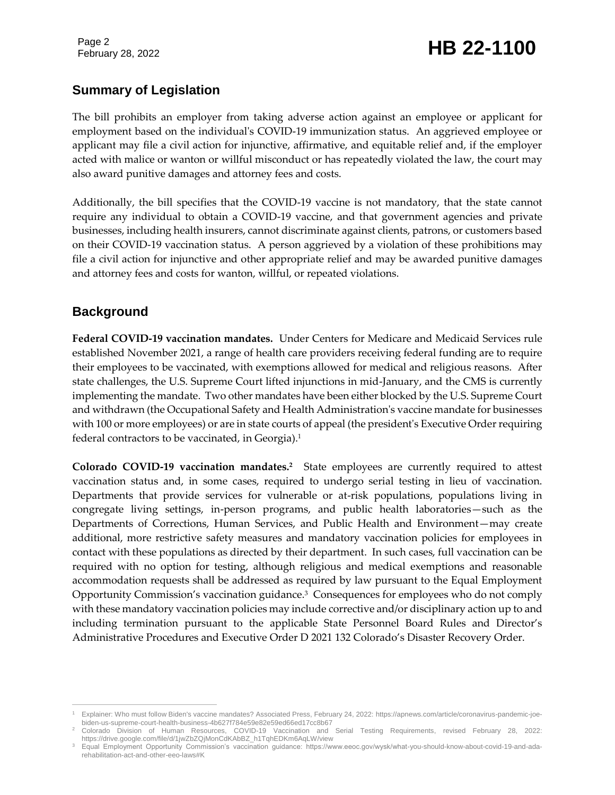# February 28, 2022 **HB 22-1100**

# **Summary of Legislation**

The bill prohibits an employer from taking adverse action against an employee or applicant for employment based on the individual's COVID-19 immunization status. An aggrieved employee or applicant may file a civil action for injunctive, affirmative, and equitable relief and, if the employer acted with malice or wanton or willful misconduct or has repeatedly violated the law, the court may also award punitive damages and attorney fees and costs.

Additionally, the bill specifies that the COVID-19 vaccine is not mandatory, that the state cannot require any individual to obtain a COVID-19 vaccine, and that government agencies and private businesses, including health insurers, cannot discriminate against clients, patrons, or customers based on their COVID-19 vaccination status. A person aggrieved by a violation of these prohibitions may file a civil action for injunctive and other appropriate relief and may be awarded punitive damages and attorney fees and costs for wanton, willful, or repeated violations.

### **Background**

**Federal COVID-19 vaccination mandates.** Under Centers for Medicare and Medicaid Services rule established November 2021, a range of health care providers receiving federal funding are to require their employees to be vaccinated, with exemptions allowed for medical and religious reasons. After state challenges, the U.S. Supreme Court lifted injunctions in mid-January, and the CMS is currently implementing the mandate. Two other mandates have been either blocked by the U.S. Supreme Court and withdrawn (the Occupational Safety and Health Administration's vaccine mandate for businesses with 100 or more employees) or are in state courts of appeal (the president's Executive Order requiring federal contractors to be vaccinated, in Georgia).<sup>1</sup>

**Colorado COVID-19 vaccination mandates.<sup>2</sup>** State employees are currently required to attest vaccination status and, in some cases, required to undergo serial testing in lieu of vaccination. Departments that provide services for vulnerable or at-risk populations, populations living in congregate living settings, in-person programs, and public health laboratories—such as the Departments of Corrections, Human Services, and Public Health and Environment—may create additional, more restrictive safety measures and mandatory vaccination policies for employees in contact with these populations as directed by their department. In such cases, full vaccination can be required with no option for testing, although religious and medical exemptions and reasonable accommodation requests shall be addressed as required by law pursuant to the Equal Employment Opportunity Commission's vaccination guidance.<sup>3</sup> Consequences for employees who do not comply with these mandatory vaccination policies may include corrective and/or disciplinary action up to and including termination pursuant to the applicable State Personnel Board Rules and Director's Administrative Procedures and Executive Order D 2021 132 Colorado's Disaster Recovery Order.

 $\overline{a}$ <sup>1</sup> Explainer: Who must follow Biden's vaccine mandates? Associated Press, February 24, 2022: https://apnews.com/article/coronavirus-pandemic-joebiden-us-supreme-court-health-business-4b627f784e59e82e59ed66ed17cc8b67

<sup>2</sup> Colorado Division of Human Resources, COVID-19 Vaccination and Serial Testing Requirements, revised February 28, 2022: https://drive.google.com/file/d/1jwZbZQjMonCdKAbBZ\_h1TqhEDKm6AqLW/view

<sup>3</sup> Equal Employment Opportunity Commission's vaccination guidance: https://www.eeoc.gov/wysk/what-you-should-know-about-covid-19-and-adarehabilitation-act-and-other-eeo-laws#K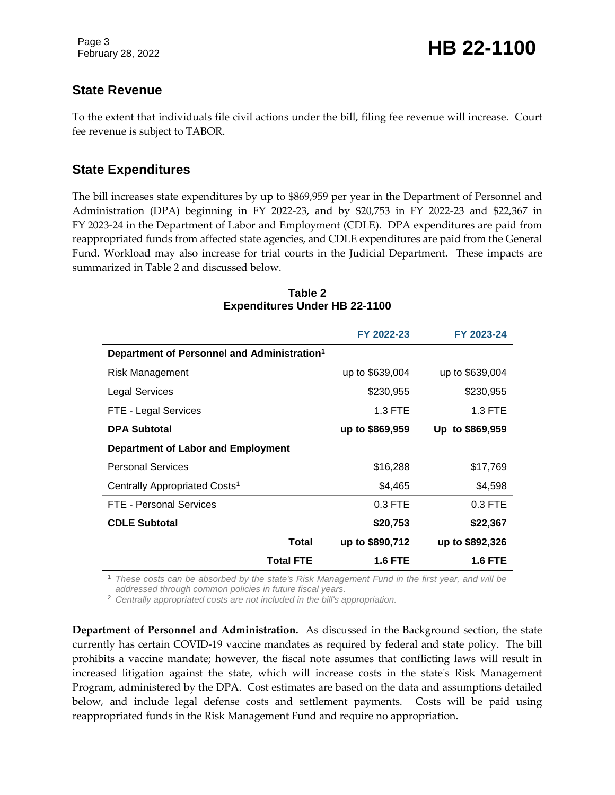# February 28, 2022 **HB 22-1100**

#### **State Revenue**

To the extent that individuals file civil actions under the bill, filing fee revenue will increase. Court fee revenue is subject to TABOR.

#### **State Expenditures**

The bill increases state expenditures by up to \$869,959 per year in the Department of Personnel and Administration (DPA) beginning in FY 2022-23, and by \$20,753 in FY 2022-23 and \$22,367 in FY 2023-24 in the Department of Labor and Employment (CDLE). DPA expenditures are paid from reappropriated funds from affected state agencies, and CDLE expenditures are paid from the General Fund. Workload may also increase for trial courts in the Judicial Department. These impacts are summarized in Table 2 and discussed below.

|                                                         | FY 2022-23      | FY 2023-24      |
|---------------------------------------------------------|-----------------|-----------------|
| Department of Personnel and Administration <sup>1</sup> |                 |                 |
| Risk Management                                         | up to \$639,004 | up to \$639,004 |
| Legal Services                                          | \$230,955       | \$230,955       |
| FTE - Legal Services                                    | 1.3 FTE         | 1.3 FTE         |
| <b>DPA Subtotal</b>                                     | up to \$869,959 | Up to \$869,959 |
| <b>Department of Labor and Employment</b>               |                 |                 |
| <b>Personal Services</b>                                | \$16,288        | \$17,769        |
| Centrally Appropriated Costs <sup>1</sup>               | \$4,465         | \$4,598         |
| FTE - Personal Services                                 | $0.3$ FTE       | $0.3$ FTE       |
| <b>CDLE Subtotal</b>                                    | \$20,753        | \$22,367        |
| Total                                                   | up to \$890,712 | up to \$892,326 |
| <b>Total FTE</b>                                        | 1.6 FTE         | <b>1.6 FTE</b>  |

#### **Table 2 Expenditures Under HB 22-1100**

<sup>1</sup> *These costs can be absorbed by the state's Risk Management Fund in the first year, and will be addressed through common policies in future fiscal years.*

<sup>2</sup> *Centrally appropriated costs are not included in the bill's appropriation.*

**Department of Personnel and Administration.** As discussed in the Background section, the state currently has certain COVID-19 vaccine mandates as required by federal and state policy. The bill prohibits a vaccine mandate; however, the fiscal note assumes that conflicting laws will result in increased litigation against the state, which will increase costs in the state's Risk Management Program, administered by the DPA. Cost estimates are based on the data and assumptions detailed below, and include legal defense costs and settlement payments. Costs will be paid using reappropriated funds in the Risk Management Fund and require no appropriation.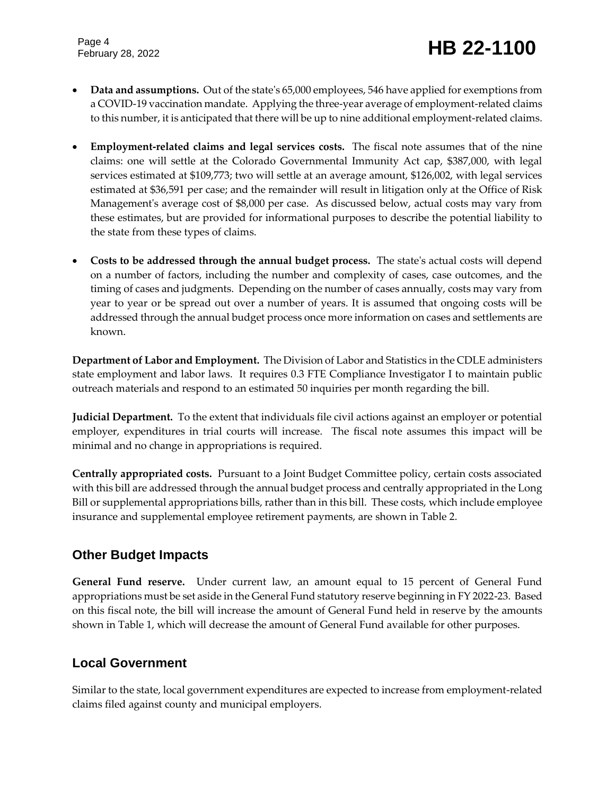- **Data and assumptions.** Out of the state's 65,000 employees, 546 have applied for exemptions from a COVID-19 vaccination mandate. Applying the three-year average of employment-related claims to this number, it is anticipated that there will be up to nine additional employment-related claims.
- **Employment-related claims and legal services costs.** The fiscal note assumes that of the nine claims: one will settle at the Colorado Governmental Immunity Act cap, \$387,000, with legal services estimated at \$109,773; two will settle at an average amount, \$126,002, with legal services estimated at \$36,591 per case; and the remainder will result in litigation only at the Office of Risk Management's average cost of \$8,000 per case. As discussed below, actual costs may vary from these estimates, but are provided for informational purposes to describe the potential liability to the state from these types of claims.
- **Costs to be addressed through the annual budget process.** The state's actual costs will depend on a number of factors, including the number and complexity of cases, case outcomes, and the timing of cases and judgments. Depending on the number of cases annually, costs may vary from year to year or be spread out over a number of years. It is assumed that ongoing costs will be addressed through the annual budget process once more information on cases and settlements are known.

**Department of Labor and Employment.** The Division of Labor and Statistics in the CDLE administers state employment and labor laws. It requires 0.3 FTE Compliance Investigator I to maintain public outreach materials and respond to an estimated 50 inquiries per month regarding the bill.

**Judicial Department.** To the extent that individuals file civil actions against an employer or potential employer, expenditures in trial courts will increase. The fiscal note assumes this impact will be minimal and no change in appropriations is required.

**Centrally appropriated costs.** Pursuant to a Joint Budget Committee policy, certain costs associated with this bill are addressed through the annual budget process and centrally appropriated in the Long Bill or supplemental appropriations bills, rather than in this bill. These costs, which include employee insurance and supplemental employee retirement payments, are shown in Table 2.

# **Other Budget Impacts**

**General Fund reserve.** Under current law, an amount equal to 15 percent of General Fund appropriations must be set aside in the General Fund statutory reserve beginning in FY 2022-23. Based on this fiscal note, the bill will increase the amount of General Fund held in reserve by the amounts shown in Table 1, which will decrease the amount of General Fund available for other purposes.

#### **Local Government**

Similar to the state, local government expenditures are expected to increase from employment-related claims filed against county and municipal employers.